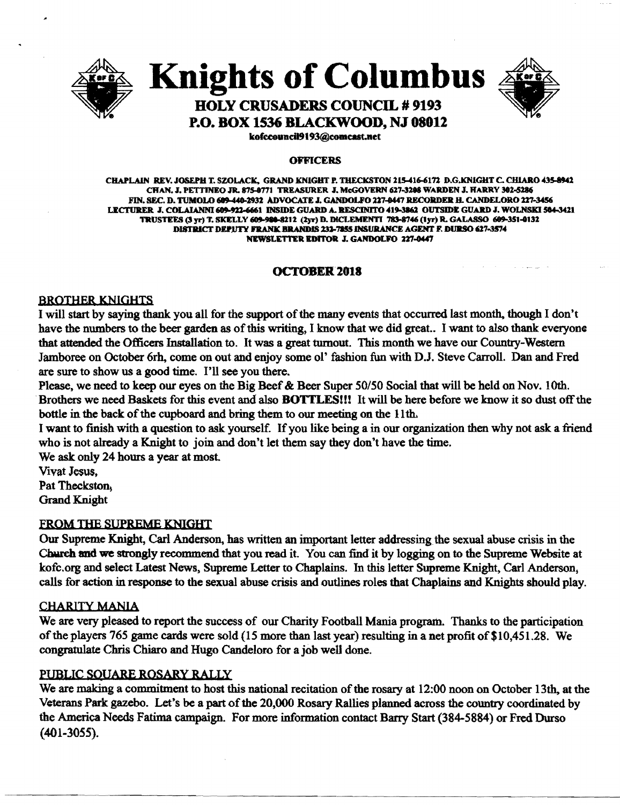

Knights of Columbus



### HOLY CRUSADERS COUNCIL # 9193 P.O. BOX 1536 BLACKWOOD, NJ 08012

kofccouncil9193@comcast.net

### **OFFICERS**

CHAPLAIN REV. JOSEPH T. SZOLACK, GRAND KNIGHT P. THECKSTON 215-416-6172 D.G.KNIGHT C. CHIARO 435-8942 CHAN. J. PETTINEO JR. 875-0771 TREASURER J. McGOVERN 627-3288 WARDEN J. HARRY 302-5286 FIN. SEC. D. TUMOLO 609-440-2932 ADVOCATE J. GANDOLFO 227-0447 RECORDER H. CANDELORO 227-3456<br>LECTURER J. COLAIANNI 609-922-6661 INSIDE GUARD A. RESCINITO 419-3862 OUTSIDE GUARD J. WOLNSKI 564-3421 LECTURER J. COLAIANNI 609-922-6661 INSIDE GUARD A. RESCINITO 419-3862 OUTSIDE GUARD J. WOLNSKI 504-3421<br>TRUSTEES (3 yr) T. SKELLY 609-980-8212 (2yr) D. DICLEMENTI 783-8746 (lyr) R. GALASSO 609-351-0132 DISTRICT DEPUTY FRANK BRANDIS 232-7255 INSURANCE AGENT F. DURSO 627-3574 NEWSLETTER EDITOR J. GANDOLFO 227-0447

### **OCTOBER 2018**

### **BROTHER KNIGHTS**

I will start by saying thank you all for the support of the many events that occurred last month, though I don't have the numbers to the beer garden as of this writing, I know that we did great.. I want to also thank everyone that attended the Officers Installation to. It was a great turnout. This month we have our Country-Western Jamboree on October 6rh, come on out and enjoy some ol' fashion fun with D.J. Steve Carroll. Dan and Fred are sure to show us a good time. I'll see you there.

Please, we need to keep our eyes on the Big Beef & Beer Super 50/50 Social that will be held on Nov. 10th. . Brothers we need Baskets for this event and also BOTTLES!!! It will be here before we know it so dust offthe bottle in the back of the cupboard and bring them to our meeting on the 11th.

I want to finish with a question to ask yourself. If you like being a in our organization then why not ask a friend who is not already a Knight to join and don't let them say they don't have the time.

We ask only 24 hours a year at most.

Vivat Jesus,

Pat Theckston. Grand Knight

### FROM THE SUPREME KNIGHT

Our Supreme Knight, Carl Anderson, has written an important letter addressing the sexual abuse crisis in the Church and we strongly recommend that you read it. You can find it by logging on to the Supreme Website at kofc.org and select Latest News, Supreme Letter to Chaplains. In this letter Supreme Knight, Carl Anderson, calls for action in response to the sexual abuse crisis and outlines roles that Chaplains and Knights should play.

### CHARITY MANIA

We are very pleased to report the success of our Charity Football Mania program. Thanks to the participation of the players 765 game cards were sold (15 more than last year) resulting in a net profit of \$10,451.28. We congratulate Chris Chiaro and Hugo Candeloro for a job well done.

### PUBLIC SOUARE ROSARY RALLY

We are making a commitment to host this national recitation of the rosary at 12:00 noon on October 13th, at the Veterans Park gazebo. Let's be a part of the 20,000 Rosary Rallies planned across the country coordinated by the America Needs Fatima campaign. For more information contact Barry Start (384-5884) or Fred Durso (401-3055).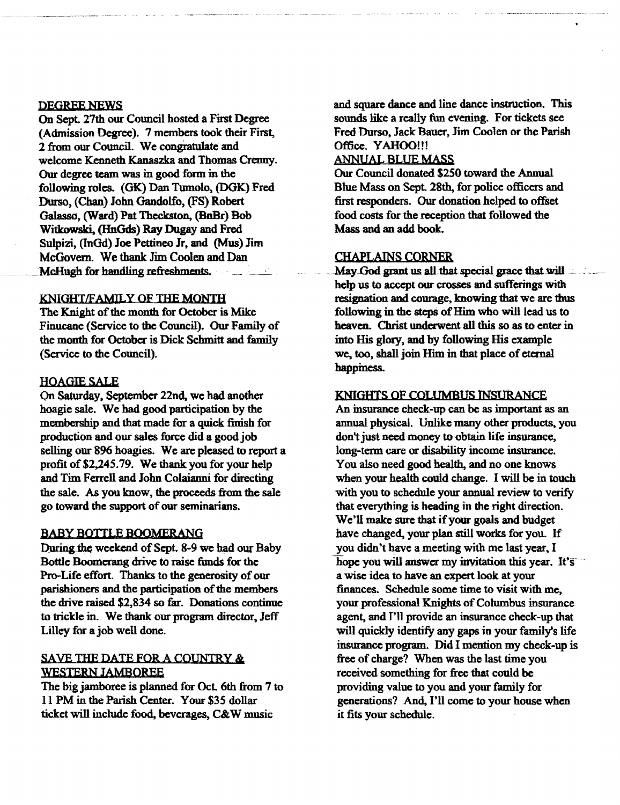### DEGREE NEWS

On Sept. 27th our Council hosted a First Degree (Admission Degree). 7 members took their First, 2 from our Council. We congratulate and welcome Kenneth Kanaszka and Thomas Crenny. Our degree team was in good form in the following roles. (OK) Dan Tumolo, (DGK) Fred Durso, (Chan) John Gandolfo, (FS) Robert Galasso, (Ward) Pat Theckston, (BnBr) Bob Witkowski, (HnGds) Ray Dugay and Fred Sulpizi, (InGd) Joe Pettineo Jr, and (Mus) Jim McGovern. We thank Jim Coolen and Dan ·McHugh for handling refresbments.

### KNIGHI/FAMII,Y OF THE MONTH

The Knight of the month for October is Mike Finucane (Service to the Council). Our Family of the month for October is Dick Schmitt and family (Service to the Council).

### HOAGIE SALE

On Saturday. September 22nd, we had another hoagie sale. We had good participation by the membership and that made for a quick finish for production and our sales force did a good job selling our 896 hoagies. We are pleased to report a profit of \$2,245.79. We thank you for your help and Tim Ferrell and John Colaianni for directing the sale. As you know, the proceeds from the sale go toward the support of our seminarians.

### BABY BOTTLE BOOMERANG

During the weekend of Sept. 8-9 we had our Baby Bottle Boomerang drive to raise funds for the Pro-Life effort. Thanks to the generosity of our parishioners and the participation of the members the drive raised \$2,834 so far. Donations continue to trickle in. We thank our program director, Jeff Lilley for a job well done.

### SAVE THE DATE FOR A COUNTRY & WESTERN JAMBOREE

The big jamboree is planned for Oct. 6th from 7 to 11 PM in the Parish Center. Your \$35 dollar ticket will include food, beverages, C&W music

and square dance and line dance instruction. This sounds like a really fun evening. For tickets see Fred Durso, Jack Bauer, Jim Coolen or the Parish Office. YAHOO!!!

### ANNUAL BLUE MASS

Our Council donated \$250 toward the Annual Blue Mass on Sept 28th, for police officers and first responders. Our donation helped to offset food costs for the reception that followed the Mass and an add book.

CHAPLAINS CORNER<br>May God grant us all that special grace that will help us to accept our crosses and sufferings with resignation and courage, knowing that we are thus following in the steps of Him who will lead us to heaven. Christ underwent all this so as to enter in into His glory, and by following His example we, too, shall join Him in that place of eternal happiness.

### KNIGHTS OF COLUMBUS 1NSUR.ANCE

An insurance check-up can be as important as an annual physical. Unlike many other products. you don't just need money to obtain life insurance, long-term care or disability income insurance. You also need good health, and no one knows when your health could change. I will be in touch with you to schedule your annual review to verify that everything is heading in the right direction. We'll make sure that if your goals and budget have changed, your plan still works for you. If you didn't have a meeting with me last year, I hope you will answer my invitation this year. It's a wise idea to have an expert look at your finances. Schedule some time to visit with me, your professional Knights of Columbus insurance agent, and I'll provide an insurance check-up that will quickly identify any gaps in your family's life insurance program. Did I mention my check-up is free of charge? When was the last time you received something for free that could be providing value to you and your family for generations? And, I'll come to your house when it fits your schedule.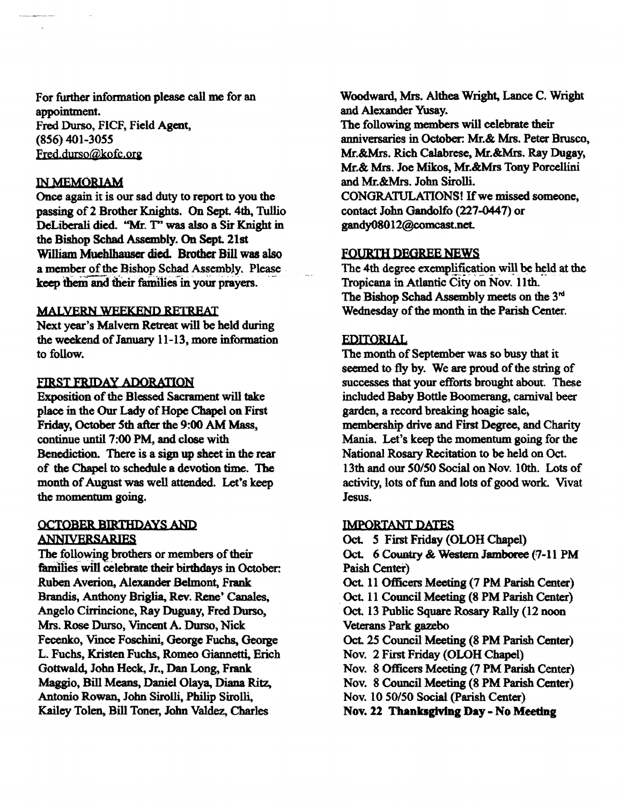For further information please call me for an appointment. Fred Durso, FICF, Field Agent, (856) 401-3055 Fred.durso@kofc.org

### INMEMORJAM

Once again it is our sad duty to report to you the passing of 2 Brother Knights. On Sept. 4th, Tullio DeLiberali died. "Mr. T" was also a Sir Knight in the Bishop Schad Assembly. On Sept. 21st William Mueblbauser died. Brother Bill was also a member of the Bishop Schad Assembly. Please keep them and their families in your prayers.

### MALVERN WEEKEND RETREAT

Next year's Malvern Retreat will be held during the weekend of January 11-13, more information to follow.

### FIRST FRIDAY ADORATION

Exposition of the Blessed Sacrament will take place in the Our Lady of Hope Chapel on First Friday, October 5th after the 9:00 AM Mass, continue until 7:00 PM, and close with Benediction. There is a sign up sheet in the rear of the Chapel to schedule a devotion time. The month of August was well attended. Let's keep the momentum going.

### OCTOBER BIRTHDAYS AND ANNIVERSARIES

The following brothers or members of their tamilies will celebrate their birthdays in October: Ruben Averion, Alexander Belmont, Frank Brandis, Anthony Briglia, Rev. Rene' Canales, Angelo Cirrincione, Ray Duguay, Fred Durso, Mrs. Rose Durso, Vmcent A. Durso, Nick Fecenko, Vmce Foschini, George Fuchs, George L. Fuchs, Kristen Fuchs, Romeo Giannetti, Erich Gottwald, John Heck, Jr., Dan Long, Frank Maggio, Bill Means, Daniel Olaya, Diana Ritz, Antonio Rowan, John Siroill, Philip Sirolli, Kailey Tolen, Bill Toner, John Valdez, Charles

Woodward, Mrs. Althea Wright, Lance C. Wright and Alexander Yusay. The following members will celebrate their anniversaries in October: Mr.& Mrs. Peter Brusco, Mr.&Mrs. Rich Calabrese, Mr.&Mrs. Ray Dugay, Mr.& Mrs. Joe Mikos., Mr.&Mrs Tony Porcellini and Mr.&Mrs. John Sirolli. CONGRATULATIONS! If we missed someone, contact John Gandolfo (227-0447) or

gandy08012@comcast.net.

### FOURTH DEGREE NEWS

The 4th degree exemplification will be held at the Tropicana in Atlantic City on Nov. 11th. The Bishop Schad Assembly meets on the 3<sup>nd</sup> Wednesday of the month in the Parish Center.

### EDITORIAL

The month of September was so busy that it seemed to fly by. We are proud of the string of successes that your efforts brought about. These included Baby Bottle Boomerang, carnival beer garden, a record breaking hoagie sale, membership drive and First Degree, and Charity Mania. Let's keep the momentum going for the National Rosary Recitation to be held on Oct. 13th and our *50/50* Social on Nov. 10th. Lots of activity, lots of fun and lots of good work. Vivat Jesus.

### IMPORTANT DATES

Oct. S First Friday (OLOH Chapel) Oct. 6 Country & Western Jamboree (7-11 PM Paish Center) Oct. 11 Officers Meeting (7 PM Parish Center) . Oct. 11 Council Meeting (8 PM Parish Center) Oct. 13 Public Square Rosary Rally (12 noon Veterans Park gazebo Oct. 25 Council Meeting (8 PM Parish Center) Nov. 2 First Friday (OLOH Chapel) Nov. 8 Officers Meeting (7 PM Parish Center) Nov. 8 Council Meeting (8 PM Parish Center) Nov. 10 50/50 Social (Parish Center) Nov. 22 Thanksgiving Day - No Meeting